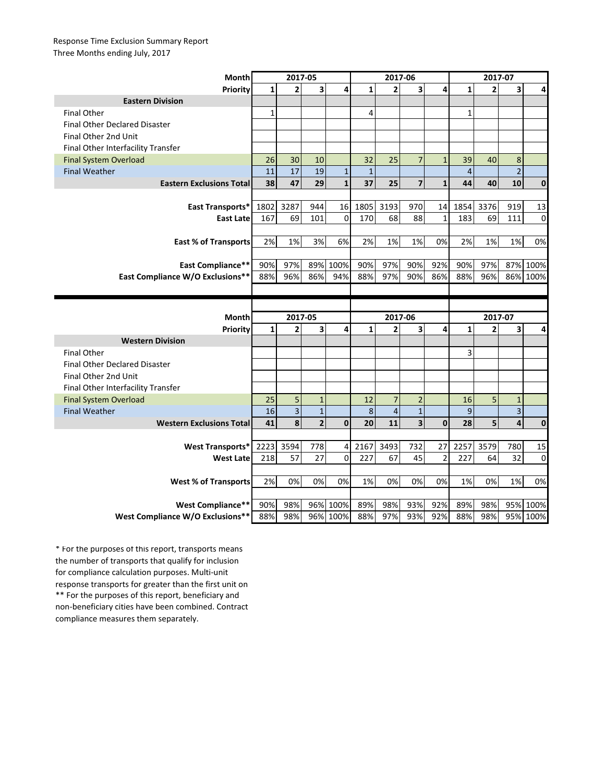## Response Time Exclusion Summary Report Three Months ending July, 2017

| Month                                                 | 2017-05      |                         |                         |                      | 2017-06      |                |                         |                | 2017-07        |                |                         |                  |
|-------------------------------------------------------|--------------|-------------------------|-------------------------|----------------------|--------------|----------------|-------------------------|----------------|----------------|----------------|-------------------------|------------------|
| Priority                                              | $\mathbf{1}$ | $\overline{2}$          | $\overline{\mathbf{3}}$ | 4                    | $\mathbf{1}$ | $\overline{2}$ | $\overline{\mathbf{3}}$ | 4              | $\mathbf{1}$   | $\overline{2}$ | 3                       | 4                |
| <b>Eastern Division</b>                               |              |                         |                         |                      |              |                |                         |                |                |                |                         |                  |
| <b>Final Other</b>                                    | $\mathbf{1}$ |                         |                         |                      | 4            |                |                         |                | $\mathbf{1}$   |                |                         |                  |
| <b>Final Other Declared Disaster</b>                  |              |                         |                         |                      |              |                |                         |                |                |                |                         |                  |
| Final Other 2nd Unit                                  |              |                         |                         |                      |              |                |                         |                |                |                |                         |                  |
| Final Other Interfacility Transfer                    |              |                         |                         |                      |              |                |                         |                |                |                |                         |                  |
| <b>Final System Overload</b>                          | 26           | 30                      | 10                      |                      | 32           | 25             | $\overline{7}$          | $\mathbf{1}$   | 39             | 40             | 8                       |                  |
| <b>Final Weather</b>                                  | 11           | 17                      | 19                      | $\mathbf{1}$         | $\mathbf{1}$ |                |                         |                | $\overline{4}$ |                | $\overline{2}$          |                  |
| <b>Eastern Exclusions Total</b>                       | 38           | 47                      | 29                      | $\mathbf{1}$         | 37           | 25             | $\overline{7}$          | $\mathbf{1}$   | 44             | 40             | 10                      | $\mathbf 0$      |
|                                                       |              |                         |                         |                      |              |                |                         |                |                |                |                         |                  |
| East Transports*                                      | 1802         | 3287                    | 944                     | 16                   | 1805         | 3193           | 970                     | 14             | 1854           | 3376           | 919                     | 13               |
| <b>East Late</b>                                      | 167          | 69                      | 101                     | $\mathbf 0$          | 170          | 68             | 88                      | $\mathbf{1}$   | 183            | 69             | 111                     | $\Omega$         |
|                                                       |              |                         |                         |                      |              |                |                         |                |                |                |                         |                  |
| <b>East % of Transports</b>                           | 2%           | 1%                      | 3%                      | 6%                   | 2%           | 1%             | 1%                      | 0%             | 2%             | 1%             | 1%                      | 0%               |
|                                                       |              |                         |                         |                      |              |                |                         |                |                |                |                         |                  |
| <b>East Compliance**</b>                              | 90%          | 97%                     | 89%                     | 100%                 | 90%          | 97%            | 90%                     | 92%            | 90%            | 97%            |                         | 87% 100%         |
| East Compliance W/O Exclusions**                      | 88%          | 96%                     | 86%                     | 94%                  | 88%          | 97%            | 90%                     | 86%            | 88%            | 96%            |                         | 86% 100%         |
|                                                       |              |                         |                         |                      |              |                |                         |                |                |                |                         |                  |
|                                                       |              |                         |                         |                      |              |                |                         |                |                |                |                         |                  |
|                                                       |              |                         |                         |                      |              |                |                         |                |                |                |                         |                  |
| Month                                                 |              | 2017-05                 |                         |                      |              | 2017-06        |                         |                |                | 2017-07        |                         |                  |
| Priority                                              | $\mathbf{1}$ | $\overline{2}$          | $\overline{\mathbf{3}}$ | 4                    | $\mathbf{1}$ | $\overline{2}$ | 3                       | 4              | $\mathbf{1}$   | $\overline{2}$ | 3                       | 4                |
| <b>Western Division</b>                               |              |                         |                         |                      |              |                |                         |                |                |                |                         |                  |
| <b>Final Other</b>                                    |              |                         |                         |                      |              |                |                         |                | 3              |                |                         |                  |
| <b>Final Other Declared Disaster</b>                  |              |                         |                         |                      |              |                |                         |                |                |                |                         |                  |
| Final Other 2nd Unit                                  |              |                         |                         |                      |              |                |                         |                |                |                |                         |                  |
| Final Other Interfacility Transfer                    |              |                         |                         |                      |              |                |                         |                |                |                |                         |                  |
| <b>Final System Overload</b>                          | 25           | 5                       | $\mathbf{1}$            |                      | 12           | $\overline{7}$ | $\overline{2}$          |                | 16             | 5              | $\mathbf{1}$            |                  |
| <b>Final Weather</b>                                  | 16           | $\overline{\mathbf{3}}$ | $\mathbf 1$             |                      | 8            | $\overline{4}$ | $\mathbf{1}$            |                | 9              |                | $\overline{\mathbf{3}}$ |                  |
| <b>Western Exclusions Total</b>                       | 41           | 8                       | $\overline{2}$          | $\mathbf 0$          | 20           | 11             | $\overline{\mathbf{3}}$ | $\mathbf 0$    | 28             | 5              | $\overline{\mathbf{4}}$ | $\bf{0}$         |
|                                                       |              |                         |                         |                      |              |                |                         |                |                |                |                         |                  |
| <b>West Transports*</b>                               | 2223         | 3594                    | 778                     | 4                    | 2167         | 3493           | 732                     | 27             | 2257           | 3579           | 780                     | 15               |
| <b>West Late</b>                                      | 218          | 57                      | 27                      | $\mathbf 0$          | 227          | 67             | 45                      | $\overline{2}$ | 227            | 64             | 32                      | $\mathbf 0$      |
|                                                       |              |                         |                         |                      |              |                |                         |                |                |                |                         |                  |
| <b>West % of Transports</b>                           | 2%           | 0%                      | 0%                      | 0%                   | 1%           | 0%             | 0%                      | 0%             | 1%             | 0%             | 1%                      | 0%               |
|                                                       |              |                         |                         |                      |              |                |                         |                |                |                |                         |                  |
| West Compliance**<br>West Compliance W/O Exclusions** | 90%<br>88%   | 98%<br>98%              |                         | 96% 100%<br>96% 100% | 89%<br>88%   | 98%<br>97%     | 93%<br>93%              | 92%<br>92%     | 89%<br>88%     | 98%<br>98%     | 95%                     | 100%<br>95% 100% |

\*\* For the purposes of this report, beneficiary and non-beneficiary cities have been combined. Contract compliance measures them separately. \* For the purposes of this report, transports means the number of transports that qualify for inclusion for compliance calculation purposes. Multi-unit response transports for greater than the first unit on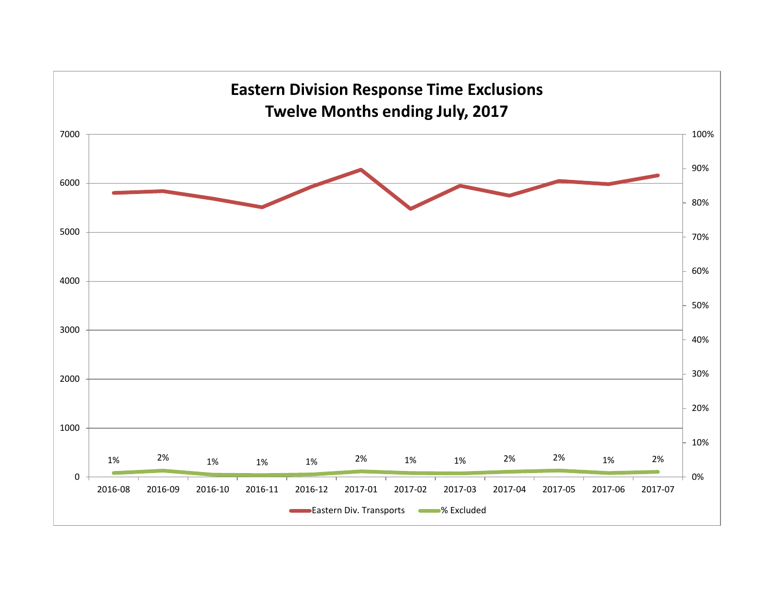